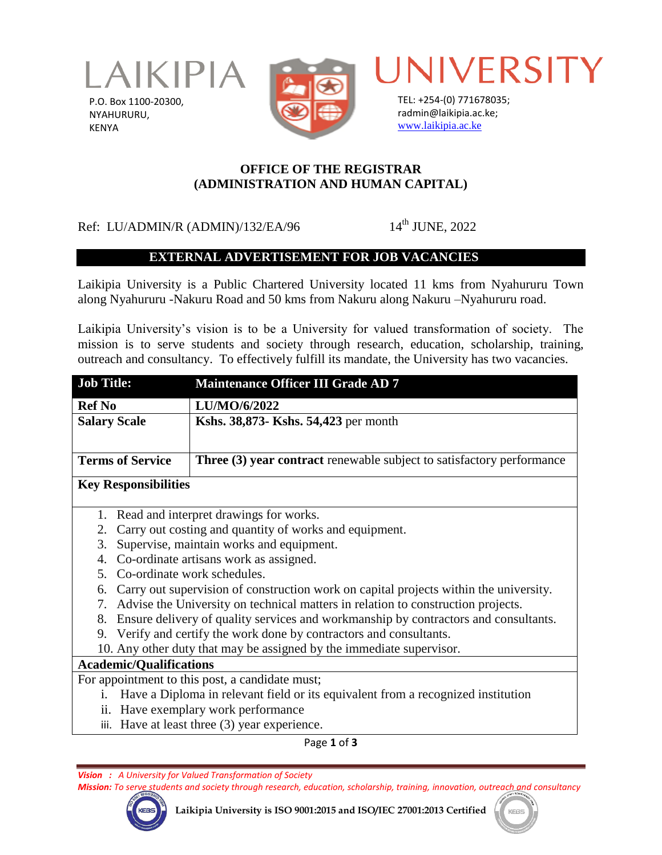

P.O. Box 1100-20300, NYAHURURU, KENYA



UNIVERSITY

TEL: +254-(0) 771678035; radmin@laikipia.ac.ke; [www.laikipia.ac.ke](http://www.laikipia.ac.ke/)

#### **OFFICE OF THE REGISTRAR (ADMINISTRATION AND HUMAN CAPITAL)**

# Ref: LU/ADMIN/R (ADMIN)/132/EA/96 14<sup>th</sup> JUNE, 2022

## **EXTERNAL ADVERTISEMENT FOR JOB VACANCIES**

Laikipia University is a Public Chartered University located 11 kms from Nyahururu Town along Nyahururu -Nakuru Road and 50 kms from Nakuru along Nakuru –Nyahururu road.

Laikipia University's vision is to be a University for valued transformation of society. The mission is to serve students and society through research, education, scholarship, training, outreach and consultancy. To effectively fulfill its mandate, the University has two vacancies.

| <b>Job Title:</b>                                                                           | <b>Maintenance Officer III Grade AD 7</b>                                    |
|---------------------------------------------------------------------------------------------|------------------------------------------------------------------------------|
| <b>Ref No</b>                                                                               | LU/MO/6/2022                                                                 |
| <b>Salary Scale</b>                                                                         | Kshs. 38,873- Kshs. 54,423 per month                                         |
|                                                                                             |                                                                              |
| <b>Terms of Service</b>                                                                     | <b>Three (3) year contract</b> renewable subject to satisfactory performance |
| <b>Key Responsibilities</b>                                                                 |                                                                              |
| Read and interpret drawings for works.<br>1.                                                |                                                                              |
| Carry out costing and quantity of works and equipment.<br>2.                                |                                                                              |
| Supervise, maintain works and equipment.<br>3.                                              |                                                                              |
| Co-ordinate artisans work as assigned.<br>4.                                                |                                                                              |
| Co-ordinate work schedules.<br>5 <sup>1</sup>                                               |                                                                              |
| Carry out supervision of construction work on capital projects within the university.<br>6. |                                                                              |
| Advise the University on technical matters in relation to construction projects.<br>7.      |                                                                              |
| Ensure delivery of quality services and workmanship by contractors and consultants.<br>8.   |                                                                              |
| 9. Verify and certify the work done by contractors and consultants.                         |                                                                              |
| 10. Any other duty that may be assigned by the immediate supervisor.                        |                                                                              |
| <b>Academic/Qualifications</b>                                                              |                                                                              |
| For appointment to this post, a candidate must;                                             |                                                                              |
| Have a Diploma in relevant field or its equivalent from a recognized institution<br>$i$ .   |                                                                              |
| ii. Have exemplary work performance                                                         |                                                                              |
| iii. Have at least three (3) year experience.                                               |                                                                              |
|                                                                                             | Page 1 of 3                                                                  |

*Vision : A University for Valued Transformation of Society*

*Mission: To serve students and society through research, education, scholarship, training, innovation, outreach and consultancy*

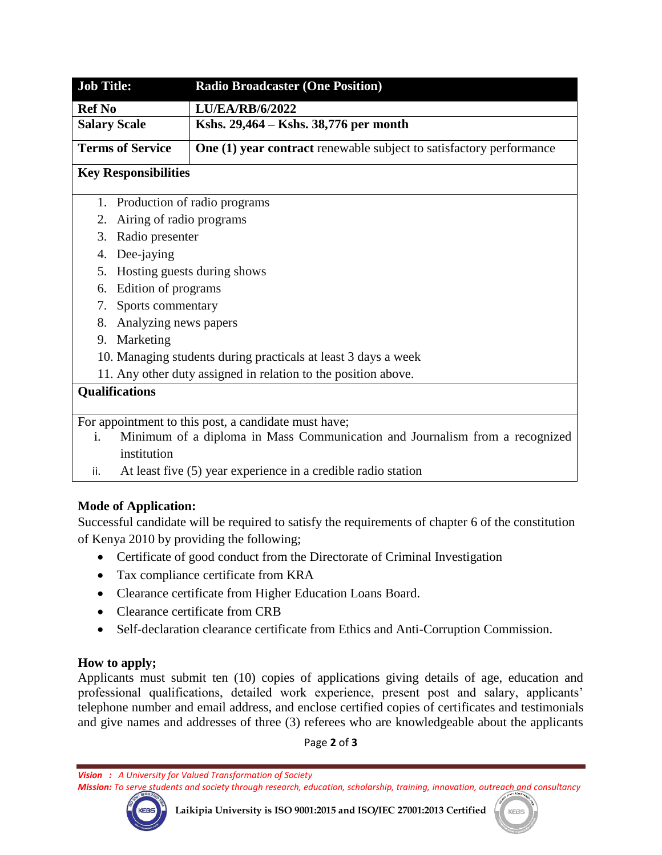| <b>Job Title:</b>                                                                                                                         | <b>Radio Broadcaster (One Position)</b>                                    |
|-------------------------------------------------------------------------------------------------------------------------------------------|----------------------------------------------------------------------------|
| <b>Ref No</b>                                                                                                                             | <b>LU/EA/RB/6/2022</b>                                                     |
| <b>Salary Scale</b>                                                                                                                       | Kshs. 29,464 – Kshs. 38,776 per month                                      |
| <b>Terms of Service</b>                                                                                                                   | <b>One (1) year contract</b> renewable subject to satisfactory performance |
| <b>Key Responsibilities</b>                                                                                                               |                                                                            |
| Production of radio programs<br>1.                                                                                                        |                                                                            |
| Airing of radio programs<br>2.                                                                                                            |                                                                            |
| Radio presenter<br>3.                                                                                                                     |                                                                            |
| Dee-jaying<br>4.                                                                                                                          |                                                                            |
| Hosting guests during shows<br>5.                                                                                                         |                                                                            |
| Edition of programs<br>6.                                                                                                                 |                                                                            |
| Sports commentary<br>7.                                                                                                                   |                                                                            |
| Analyzing news papers<br>8.                                                                                                               |                                                                            |
| Marketing<br>9.                                                                                                                           |                                                                            |
| 10. Managing students during practicals at least 3 days a week                                                                            |                                                                            |
| 11. Any other duty assigned in relation to the position above.                                                                            |                                                                            |
| <b>Qualifications</b>                                                                                                                     |                                                                            |
|                                                                                                                                           |                                                                            |
| For appointment to this post, a candidate must have;<br>i.<br>Minimum of a diploma in Mass Communication and Journalism from a recognized |                                                                            |
| institution                                                                                                                               |                                                                            |

ii. At least five (5) year experience in a credible radio station

## **Mode of Application:**

Successful candidate will be required to satisfy the requirements of chapter 6 of the constitution of Kenya 2010 by providing the following;

- Certificate of good conduct from the Directorate of Criminal Investigation
- Tax compliance certificate from KRA
- Clearance certificate from Higher Education Loans Board.
- Clearance certificate from CRB
- Self-declaration clearance certificate from Ethics and Anti-Corruption Commission.

## **How to apply;**

Applicants must submit ten (10) copies of applications giving details of age, education and professional qualifications, detailed work experience, present post and salary, applicants' telephone number and email address, and enclose certified copies of certificates and testimonials and give names and addresses of three (3) referees who are knowledgeable about the applicants

Page **2** of **3**

*Vision : A University for Valued Transformation of Society*

*Mission: To serve students and society through research, education, scholarship, training, innovation, outreach and consultancy*